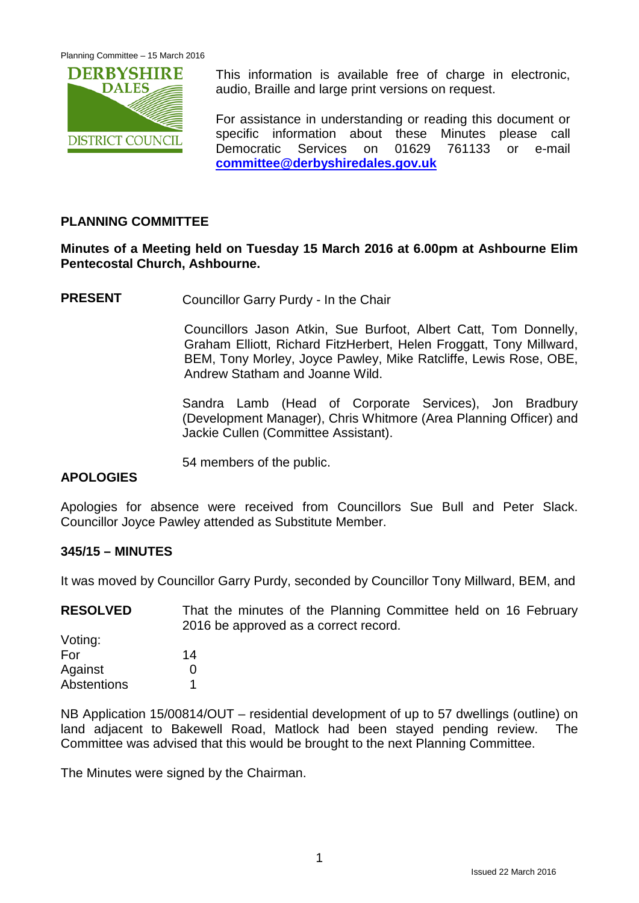

This information is available free of charge in electronic, audio, Braille and large print versions on request.

For assistance in understanding or reading this document or specific information about these Minutes please call Democratic Services on 01629 761133 or e-mail **[committee@derbyshiredales.gov.uk](mailto:committee@derbyshiredales.gov.uk)**

## **PLANNING COMMITTEE**

## **Minutes of a Meeting held on Tuesday 15 March 2016 at 6.00pm at Ashbourne Elim Pentecostal Church, Ashbourne.**

**PRESENT** Councillor Garry Purdy - In the Chair

Councillors Jason Atkin, Sue Burfoot, Albert Catt, Tom Donnelly, Graham Elliott, Richard FitzHerbert, Helen Froggatt, Tony Millward, BEM, Tony Morley, Joyce Pawley, Mike Ratcliffe, Lewis Rose, OBE, Andrew Statham and Joanne Wild.

Sandra Lamb (Head of Corporate Services), Jon Bradbury (Development Manager), Chris Whitmore (Area Planning Officer) and Jackie Cullen (Committee Assistant).

54 members of the public.

# **APOLOGIES**

Apologies for absence were received from Councillors Sue Bull and Peter Slack. Councillor Joyce Pawley attended as Substitute Member.

## **345/15 – MINUTES**

It was moved by Councillor Garry Purdy, seconded by Councillor Tony Millward, BEM, and

**RESOLVED** That the minutes of the Planning Committee held on 16 February 2016 be approved as a correct record.

| Voting:     |    |
|-------------|----|
| For         | 14 |
| Against     | O  |
| Abstentions | 1  |

NB Application 15/00814/OUT – residential development of up to 57 dwellings (outline) on land adjacent to Bakewell Road, Matlock had been stayed pending review. The Committee was advised that this would be brought to the next Planning Committee.

The Minutes were signed by the Chairman.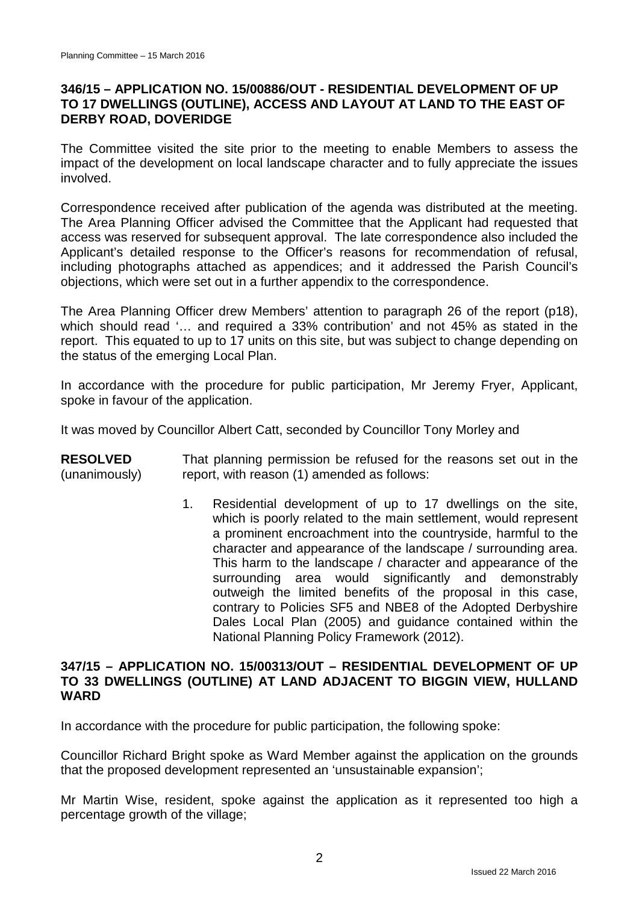## **346/15 – APPLICATION NO. 15/00886/OUT - RESIDENTIAL DEVELOPMENT OF UP TO 17 DWELLINGS (OUTLINE), ACCESS AND LAYOUT AT LAND TO THE EAST OF DERBY ROAD, DOVERIDGE**

The Committee visited the site prior to the meeting to enable Members to assess the impact of the development on local landscape character and to fully appreciate the issues involved.

Correspondence received after publication of the agenda was distributed at the meeting. The Area Planning Officer advised the Committee that the Applicant had requested that access was reserved for subsequent approval. The late correspondence also included the Applicant's detailed response to the Officer's reasons for recommendation of refusal, including photographs attached as appendices; and it addressed the Parish Council's objections, which were set out in a further appendix to the correspondence.

The Area Planning Officer drew Members' attention to paragraph 26 of the report (p18), which should read '… and required a 33% contribution' and not 45% as stated in the report. This equated to up to 17 units on this site, but was subject to change depending on the status of the emerging Local Plan.

In accordance with the procedure for public participation, Mr Jeremy Fryer, Applicant, spoke in favour of the application.

It was moved by Councillor Albert Catt, seconded by Councillor Tony Morley and

**RESOLVED** (unanimously) That planning permission be refused for the reasons set out in the report, with reason (1) amended as follows:

> 1. Residential development of up to 17 dwellings on the site, which is poorly related to the main settlement, would represent a prominent encroachment into the countryside, harmful to the character and appearance of the landscape / surrounding area. This harm to the landscape / character and appearance of the surrounding area would significantly and demonstrably outweigh the limited benefits of the proposal in this case, contrary to Policies SF5 and NBE8 of the Adopted Derbyshire Dales Local Plan (2005) and guidance contained within the National Planning Policy Framework (2012).

#### **347/15 – APPLICATION NO. 15/00313/OUT – RESIDENTIAL DEVELOPMENT OF UP TO 33 DWELLINGS (OUTLINE) AT LAND ADJACENT TO BIGGIN VIEW, HULLAND WARD**

In accordance with the procedure for public participation, the following spoke:

Councillor Richard Bright spoke as Ward Member against the application on the grounds that the proposed development represented an 'unsustainable expansion';

Mr Martin Wise, resident, spoke against the application as it represented too high a percentage growth of the village;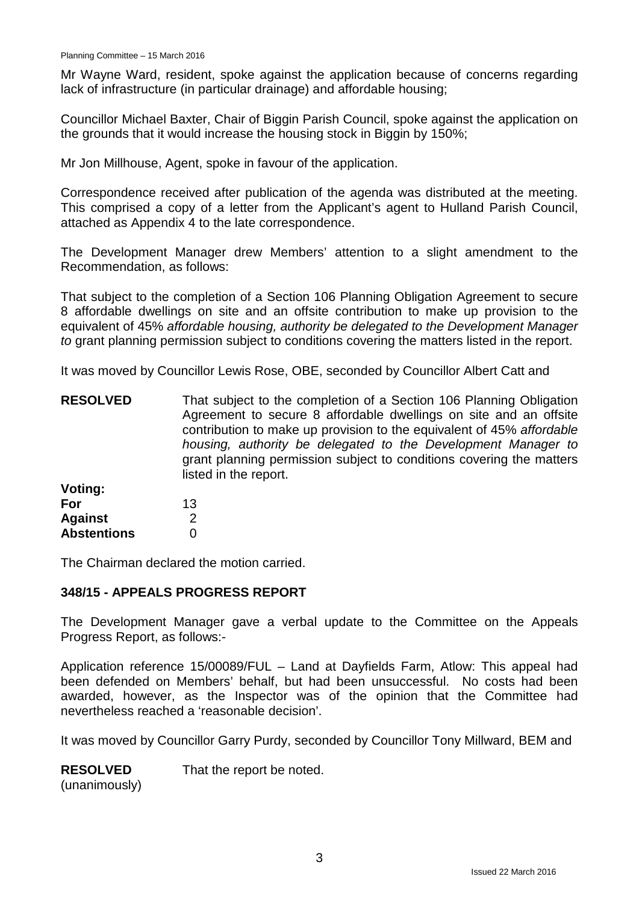Mr Wayne Ward, resident, spoke against the application because of concerns regarding lack of infrastructure (in particular drainage) and affordable housing;

Councillor Michael Baxter, Chair of Biggin Parish Council, spoke against the application on the grounds that it would increase the housing stock in Biggin by 150%;

Mr Jon Millhouse, Agent, spoke in favour of the application.

Correspondence received after publication of the agenda was distributed at the meeting. This comprised a copy of a letter from the Applicant's agent to Hulland Parish Council, attached as Appendix 4 to the late correspondence.

The Development Manager drew Members' attention to a slight amendment to the Recommendation, as follows:

That subject to the completion of a Section 106 Planning Obligation Agreement to secure 8 affordable dwellings on site and an offsite contribution to make up provision to the equivalent of 45% *affordable housing, authority be delegated to the Development Manager to* grant planning permission subject to conditions covering the matters listed in the report.

It was moved by Councillor Lewis Rose, OBE, seconded by Councillor Albert Catt and

**RESOLVED Voting:** That subject to the completion of a Section 106 Planning Obligation Agreement to secure 8 affordable dwellings on site and an offsite contribution to make up provision to the equivalent of 45% *affordable housing, authority be delegated to the Development Manager to* grant planning permission subject to conditions covering the matters listed in the report.

| For                | 13 |
|--------------------|----|
| <b>Against</b>     | 2  |
| <b>Abstentions</b> | 0  |

The Chairman declared the motion carried.

## **348/15 - APPEALS PROGRESS REPORT**

The Development Manager gave a verbal update to the Committee on the Appeals Progress Report, as follows:-

Application reference 15/00089/FUL – Land at Dayfields Farm, Atlow: This appeal had been defended on Members' behalf, but had been unsuccessful. No costs had been awarded, however, as the Inspector was of the opinion that the Committee had nevertheless reached a 'reasonable decision'.

It was moved by Councillor Garry Purdy, seconded by Councillor Tony Millward, BEM and

#### **RESOLVED** That the report be noted.

(unanimously)